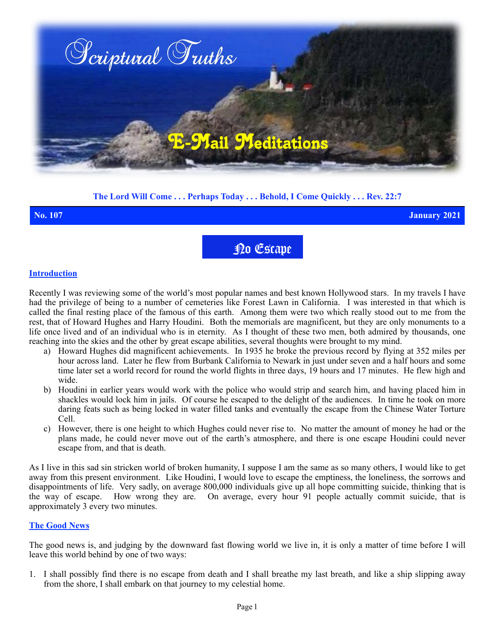

## **The Lord Will Come . . . Perhaps Today . . . Behold, I Come Quickly . . . Rev. 22:7**

**No. 107 January 2021**

**No Escape** 

### **Introduction**

Recently I was reviewing some of the world's most popular names and best known Hollywood stars. In my travels I have had the privilege of being to a number of cemeteries like Forest Lawn in California. I was interested in that which is called the final resting place of the famous of this earth. Among them were two which really stood out to me from the rest, that of Howard Hughes and Harry Houdini. Both the memorials are magnificent, but they are only monuments to a life once lived and of an individual who is in eternity. As I thought of these two men, both admired by thousands, one reaching into the skies and the other by great escape abilities, several thoughts were brought to my mind.

- a) Howard Hughes did magnificent achievements. In 1935 he broke the previous record by flying at 352 miles per hour across land. Later he flew from Burbank California to Newark in just under seven and a half hours and some time later set a world record for round the world flights in three days, 19 hours and 17 minutes. He flew high and wide.
- b) Houdini in earlier years would work with the police who would strip and search him, and having placed him in shackles would lock him in jails. Of course he escaped to the delight of the audiences. In time he took on more daring feats such as being locked in water filled tanks and eventually the escape from the Chinese Water Torture Cell.
- c) However, there is one height to which Hughes could never rise to. No matter the amount of money he had or the plans made, he could never move out of the earth's atmosphere, and there is one escape Houdini could never escape from, and that is death.

As I live in this sad sin stricken world of broken humanity, I suppose I am the same as so many others, I would like to get away from this present environment. Like Houdini, I would love to escape the emptiness, the loneliness, the sorrows and disappointments of life. Very sadly, on average 800,000 individuals give up all hope committing suicide, thinking that is the way of escape. How wrong they are. On average, every hour 91 people actually commit suicide, that is approximately 3 every two minutes.

### **The Good News**

The good news is, and judging by the downward fast flowing world we live in, it is only a matter of time before I will leave this world behind by one of two ways:

1. I shall possibly find there is no escape from death and I shall breathe my last breath, and like a ship slipping away from the shore, I shall embark on that journey to my celestial home.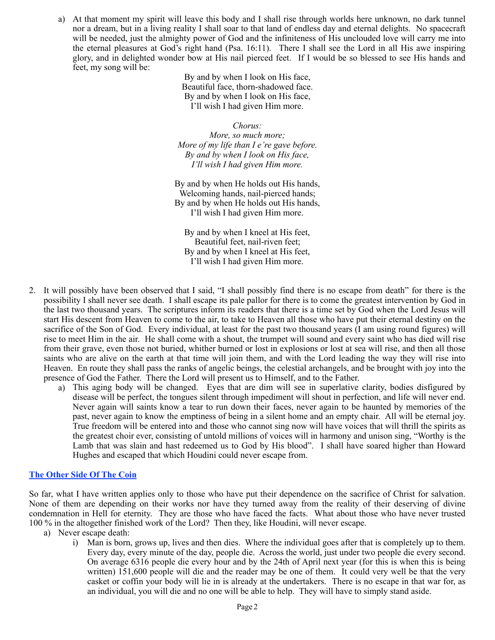a) At that moment my spirit will leave this body and I shall rise through worlds here unknown, no dark tunnel nor a dream, but in a living reality I shall soar to that land of endless day and eternal delights. No spacecraft will be needed, just the almighty power of God and the infiniteness of His unclouded love will carry me into the eternal pleasures at God's right hand (Psa. 16:11). There I shall see the Lord in all His awe inspiring glory, and in delighted wonder bow at His nail pierced feet. If I would be so blessed to see His hands and feet, my song will be:

> By and by when I look on His face, Beautiful face, thorn-shadowed face. By and by when I look on His face, I'll wish I had given Him more.

*Chorus: More, so much more; More of my life than I e're gave before. By and by when I look on His face, I'll wish I had given Him more.* 

By and by when He holds out His hands, Welcoming hands, nail-pierced hands; By and by when He holds out His hands, I'll wish I had given Him more.

By and by when I kneel at His feet, Beautiful feet, nail-riven feet; By and by when I kneel at His feet, I'll wish I had given Him more.

- 2. It will possibly have been observed that I said, "I shall possibly find there is no escape from death" for there is the possibility I shall never see death. I shall escape its pale pallor for there is to come the greatest intervention by God in the last two thousand years. The scriptures inform its readers that there is a time set by God when the Lord Jesus will start His descent from Heaven to come to the air, to take to Heaven all those who have put their eternal destiny on the sacrifice of the Son of God. Every individual, at least for the past two thousand years (I am using round figures) will rise to meet Him in the air. He shall come with a shout, the trumpet will sound and every saint who has died will rise from their grave, even those not buried, whither burned or lost in explosions or lost at sea will rise, and then all those saints who are alive on the earth at that time will join them, and with the Lord leading the way they will rise into Heaven. En route they shall pass the ranks of angelic beings, the celestial archangels, and be brought with joy into the presence of God the Father. There the Lord will present us to Himself, and to the Father.
	- a) This aging body will be changed. Eyes that are dim will see in superlative clarity, bodies disfigured by disease will be perfect, the tongues silent through impediment will shout in perfection, and life will never end. Never again will saints know a tear to run down their faces, never again to be haunted by memories of the past, never again to know the emptiness of being in a silent home and an empty chair. All will be eternal joy. True freedom will be entered into and those who cannot sing now will have voices that will thrill the spirits as the greatest choir ever, consisting of untold millions of voices will in harmony and unison sing, "Worthy is the Lamb that was slain and hast redeemed us to God by His blood". I shall have soared higher than Howard Hughes and escaped that which Houdini could never escape from.

## **The Other Side Of The Coin**

So far, what I have written applies only to those who have put their dependence on the sacrifice of Christ for salvation. None of them are depending on their works nor have they turned away from the reality of their deserving of divine condemnation in Hell for eternity. They are those who have faced the facts. What about those who have never trusted 100 % in the altogether finished work of the Lord? Then they, like Houdini, will never escape.

- a) Never escape death:
	- i) Man is born, grows up, lives and then dies. Where the individual goes after that is completely up to them. Every day, every minute of the day, people die. Across the world, just under two people die every second. On average 6316 people die every hour and by the 24th of April next year (for this is when this is being written) 151,600 people will die and the reader may be one of them. It could very well be that the very casket or coffin your body will lie in is already at the undertakers. There is no escape in that war for, as an individual, you will die and no one will be able to help. They will have to simply stand aside.